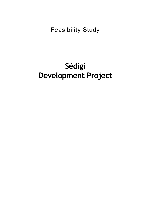# Feasibility Study

# **Sédigi Development Project**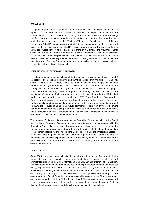#### **BACKGROUND**

The previous plan for the exploitation of the Sédigi field was developed per the terms agreed to in the 1988 SEERAT Convention between the Republic of Chad and the Consortium (Exxon 40%, Shell 40%, Elf 20%). The Convention required that the Sédigi field facilities would be owned 100% by the Consortium, and that the pipeline and refinery would be owned and operated by "Societe d'Etude et d'Exploitation de la Raffinerie Tchadienne" (SEERAT), a company owned 51 % by the Consortium, and 49% by the Chad government. The objective of the SEERAT project was to pipeline the Sédigi crude to a newly constructed refinery to be located at Farcha in N'Djamena, the Countries capital which would meet the energy demands of "Societe Tchadienne D'Eau et d'Electricitie" (STEE) as well as meet the potential available petroleum market. As well, the project would have to meet the profitability criteria necessary for the government of Chad to secure financial support from the Consortium members, and/or other lending institutions to allow it to meet its cost obligation to the project.

#### **STATE PETROLEUM OVERSEAS INC, PROPOSAL**

The State, proposal for the exploitation of the Sédigi pool involves the construction of a 320 km pipeline, and associated gathering and pumping facilities from the field to N'Djamena, where a 3500 BOPD refinery would be located, designed to supply the national requirements for hydrocarbon byproducts as well as the fuel requirements for an upgraded 8 megawatt power generation facility located at the same site. The cost of the project would be borne 100% by State, with production sharing and cost recovery, to be negotiated. Ownership of all upstream facilities, which would include the Sédigi field production and gathering facilities, would be 100% State Petroleum Overseas Inc. Ownership of all downstream facilities, which would include the field evaporation system, crude oil pipeline and pumping station, the refinery' arid the power generation station would be 100% the Republic of Chad. State would commence construction of the development plan immediately upon the signing of an Exploration Agreement for the Lake Chad Basin, and a Production Sharing Agreement for the Sédigi field. Completion of the project is estimated to be 18 months from commencement.

The purpose of this report is to determine the feasibility of the exploitation of the Sédigi pool by State Petroleum Overseas Inc., prior to entering into an agreement with the Republic of Chad defining the respective rights and obligations of the parties regarding the conduct of petroleum activities by State within Chad. Fundamental to States determination of the economic feasibility of developing the Sédigi field, remains the unrestricted access to all technical data acquired on the Lake Chad Basin portion of the Permit H to date, to determine the remaining exploration potential of the basin, as well as confirmation of the availability of this portion of the Permit held-by-the Consortium, for further exploration and development by State,

#### **TECHNICAL+DATA**

Since 1989, there has been extensive technical work done on the Sédigi project with respect to reservoir description, reserve determination, production capabilities and hydrocarbon properties by Exxon International and SNC Lavalin International. In addition, extensive research has been done on the petroleum byproduct requirements, and electrical energy requirements for the Republic of Chad, and reported on by these same companies. Haskoning Societe Royale d'Ingenieurs was commissioned by the Government of Chad to do a study on the impact of the proposed SEERAT pipeline and refinery on the environment. All of this information was made available to State by the Chad government, and was evaluated in detail by State's technical staff. The technical information contained in these various reports was determined to be reasonable and adequate to allow State to develop the alternative plan to the SEERAT project to exploit the Sédigi field.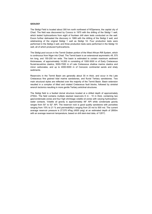#### **GEOLOGY**

The Sédigi Field is located about 300 km north northwest of N'Djamena, the capital city of Chad. The field was discovered by Conoco in 1975 with the drilling of the Sédigi 1 well, which tested hydrocarbons from eight of fourteen drill stem tests conducted on the well. Exxon further delineated the discovery in 1989 with the drilling of the Sédigi 2 well, and sidetracking of the original Sédigi 1 well as Sédigi 1A. Four production tests were performed in the Sédigi 2 well, and three production tests were performed in the Sédigi 1A well, all of which produced hydrocarbons.

The Sédigi field is a faulted domal structure located at a drilled depth of approximately 2750m. The field contains multiple stacked reservoirs 6 m - 10 m thick, containing two gas/condensate zones and four high shrinkage volatile oil zones with varying hydrocarbonwater contacts. Volatile oil gravity is approximately 48° API while condensate gravity ranges from 50° to 52° API. The reservoir rock is good quality sandstone with porosities ranging from 15% to 21 % and permeability's ranging from 20 md to 500 md. The current average reservoir pressure is 27,570 kPag (4000 psig) at an estimated depth of 2800m with an average reservoir temperature, based on drill stem-test data, of 129°C.

The Sédigi pool occurs in the Termit Graben portion of the West African Rift System, which is continuous from Niger into Chad. The Termit basin is an extensional asymmetric rift, 575 km long, and 150-200 km wide. The basin is estimated to contain maximum sediment thicknesses, of approximately 14,000 m consisting of 1000-3000 m of Early Cretaceous fluvial-lacustrine clastics, 5000-7000 m of Late Cretaceous shallow marine clastics and minor carbonates, and up to 4000-5000 m of Cenozoic continental sands and shaly sediments.

Reservoirs in the Termit Basin are generally about 30 m thick, and occur in the Late Cretaceous fine grained tidal marine sandstones, and fluvial Tertiary sandstones. Two main structural styles are reflected over the majority of the Termit Basin. Basin extension resulted in a complex of tilted and rotated Cretaceous fault blocks, followed by sinistral wrench tectonics resulting in more gentle Tertiary anticlinal structures.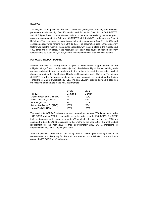#### **RESERVES**

The original oil in place for the field, based on geophysical mapping and reservoir parameters established by Esso Exploration and Production Chad Inc, is 30.9 MMSTB, and 11 Bcf gas. Based on simulation work done on the reservoir model by the same group, recoverable reserves for the field are 13.9 MMSTB oil, 1.4 MMSTB condensate and 5 to 10 Bcf of gas. This represents recovery factors in the oil zones ranging from 31% to 52%, and condensate recoveries ranging from 25% to 29%. The assumption used in these recovery factors was that the reservoir was aquifer supported, with water in place in the model about 1800 times the oil in place. If the reservoirs are not in fact aquifer supported, recovery factors would be cut at least, in half, without the implementation of an injection scheme.

#### PETROLEUM PRODUCT DEMAND

Whether the field has strong aquifer support, or weak aquifer support (which can be mitigated at significant: cost by water injection), the deliverability of the two existing wells appears sufficient to provide feedstock to the refinery to meet the expected product demand as defined by the Societe d'Etude et d'Exploitation de la Raffmerie Tchadienne (SEERAT), and the fuel requirements for the energy demands as required by the Societe Tchadienne d'Eau et d'Electricitie (STEE). The total SEERAT product demand is based on the following percentages of the individual markets:

|                               | <b>STEE</b>   | Local         |
|-------------------------------|---------------|---------------|
| <b>Product</b>                | <b>Demand</b> | <b>Market</b> |
| Liquified Petroleum Gas (LPG) | Nil           | 100%          |
| Motor Gasoline (MOGAS)        | Nil           | 40%           |
| Jet Fuel (JET-A)              | Nil           | 100%          |
| Automotive Diesel Oil (ADO)   | 100%          | 29%           |
| Heavy Fuel Oil (HFO)          | 100%          | 100%          |

The yearly total SEERAT petroleum product demand for the year 2000 is estimated to be 1516 BOPD, and by 2005 the demand is estimated to increase to 1848 BOPD. The STEE fuel requirements for the generation of 8 MW of electrical power in the year 2000 are estimated to be 530 BOPD, escalating to 659 BOPD by the year 2005. The total product requirement for the year 2000 is then approximately 2050 BOPD, increasing to approximately 2500 BOPD by the year 2005.

State's exploitation proposal for the Sédigi field is based upon meeting these initial requirements, and designing for the additional demand as anticipated, to a maximum output of 3500 BOPD of refined product.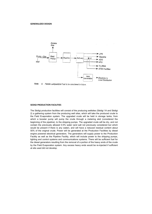

Note: A. Petrole Lampant/Jet Fuel to be considered in future.

#### **SEDIGI PRODUCTION FACILITIES**

The Sédigi production facilities will consist of the producing wellsites (Sédigi 1A and Sédigi 2) a gathering system from the producing well sites, which will take the produced crude to the Field Evaporation system. The upgraded crude will be held in storage tanks, from which a booster pump will pump the crude through a metering skid (considered the beginning of the pipeline), to the shipping pumps. The upgraded crude will be dry, and not contain the previously allowed 0.5% water (and salt not previously considered but which would be present if there is any water), and will have a reduced residual content about 50% of the original crude. Power will be generated at the Production Facilities by diesel engine powered electrical generators. The generators will supply power to the Production Facility as well as the Pipeline Facility, which will include power to the shipping pumps, lighting and control systems and communications systems. There will be sufficient fuel for the diesel generators resulting from the removal of a portion of the heavy ends of the crude by the Field Evaporation system. Any excess heavy ends would be re-injected if sufficient at site used did not develop.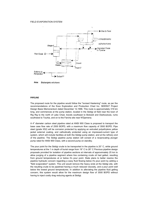

Note: Exchangers not shown.

#### **PIPELINE**

The proposed route for the pipeline would follow the "revised Hastening" route, as per the recommendations of the Esso Exploration and Production Chad Inc. SEERAT Project Design Basis Memorandum dated December 12,1996. This route is approximately 319 km long, and commences at the pump station, located in the Sédigi oil field near the town of Rig Rig to the north of Lake Chad, travels southeast to Bolosidi and Diarkouloula, rums southwest to Tourba, and on to the Farcha site near N'Djamena.

A 4" diameter carbon steel pipeline rated at ANSI 900 Class is proposed to transport the base case flow rate of 2500 BOPD, with a maximum flow capacity of 3500 BOPD. Pipe steel (grade X52) will be corrosion protected by applying an extruded polyethylene yellow jacket external coating, and cathodically protected using an impressed-current type of system, which will include facilities at both the Sédigi pump station, and at the refinery end of the pipeline. The Sédigi pipeline pump station will consist of a reciprocating plunger pump rated for ANSI 900 Class, with a second pump on standby.

The pour point for the Sédigi crude to be transported in the pipeline is 20° C, while ground temperatures at the 1 m depth of burial range from 19° C to 28° C Previous pipeline design proposals provided for isolation of pipeline sections at intervals of approximately 25 km to allow purging of a pipeline segment where line containing crude oil had gelled, resulting from ground temperatures at or below it's pour point. State plans to better resolve the pipeline hydraulic concern regarding a waxy fluid flowing below it's pour point by adding a "field evaporation" system. This unit would remove the heavy ends at the Sédigi site, with the resulting crude to be pipelined having a much reduced viscosity, and a pour point well below the lowest ground temperatures. In addition to alleviating the pipeline fluid gelling concern, this system would allow for the maximum design flow of 3500 BOPD without having to inject costly drag reducing agents at Sédigi.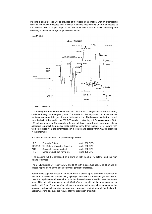Pipeline pigging facilities will be provided at the Sédigi pump station, with an intermediate receiver and launcher located near Bolosidi. A second receiver only unit will be located at the refinery. The scrapper traps should be of sufficient size to allow launching and receiving of instrumental pigs for pipeline inspection.

#### **REFINERY**



The refinery will take crude direct from the pipeline via a surge vessel with a standby crude tank only for emergency use. The crude will be separated into three naptha fractions, kerosene, light gas oil and a bottoms fraction. The heaviest naptha fraction will form the bulk of the feed to the 500 BPD catalytic reforming unit for conversion to 98 to 100 octane reformats The catalytic reformer will have special feed driers and sulphur adsorbers to protect the precious metal catalysts in the three reactors. LPG (butane rich) will be produced from the light fractions in the crude and possibly from C3C4's produced in the reforming.

Products for transfer to oil company tankage will be:

| <b>LPG</b>   | <b>Primarily Butane</b>      | -up to $200$ BPD- |
|--------------|------------------------------|-------------------|
| <b>MOGAS</b> | *91 Octane Unleaded Gasoline | -up to $600$ BPD- |
| <b>ADO</b>   | Single all season product    | -up to 900 BPD-   |
| <b>HFO</b>   | Minor product, but very pure | -up to 100 BPD-   |

\*The gasoline will be composed of a blend of light naptha (75 octane) and the high octane reformate.

The STEE facilities will receive ADO and HFO, with excess fuel gas, LPG, HFO and all excess naptha going to the onsite electrical generation facilities.

Added crude capacity or less ADO could make available up to 500 BPD of feed for jet fuel to a kerosene hydrotreater using hydrogen available from the catalytic reformer to lower the napthalene and aromatics content of the raw kerosene and increase the smoke point. This unit will, operate at about 4500 kPa and would not be recommended for startup until 9 to 12 months after refinery startup due to the very close process control required, and almost doubling the laboratory workload required with jet fuel testing. In addition, several additives are required for the production of jet fuel.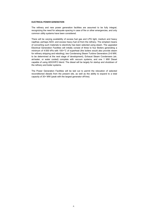#### **ELECTRICAL POWER GENERATION**

The refinery and new power generation facilities are assumed to be fully integral, recognizing the need for adequate spacing in case of fire or other emergencies, and only common utility systems have been considered.

There will be varying availability of excess fuel gas and LPG light, medium and heavy napthas; perhaps ADO; and excess heavy fuel oil from the refinery. The simplest means of converting such materials to electricity has been selected using steam. The upgraded Electrical Generation Facilities will initially consist of three to four Boilers generating a minimum of 4:500 kPa with 100+°C of superheat (the boilers would also provide steam for refinery stripping and reboiling), two Condensing Steam Turbine Generators (3-6 MW, to be determined at the next stage of development), Exhaust Steam Condensers (air, air/water, or water cooled) complete with vacuum systems, and one 1 MW Diesel capable of using ADO/HFO blend. The diesel will be largely for startup and shutdown of the refinery and boiler systems.

The Power Generation Facilities will be laid out to permit the relocation of selected reconditioned diesels from the present site, as well as the ability to expand to a total capacity of 30+ MW (peak with the largest generator off-line).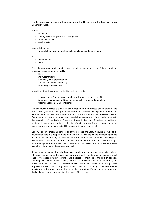The following utility systems will be common to the Refinery, and the Electrical Power Generation facility:

## Water:

- instrument air
- plant air
- fire water
- cooling water (complete with cooling tower)
- boiler feed water
- service water

# Steam distribution:

- Flare
- Oily water treating
- Potentially oily water treatment
- Caustic and chemical handling
- Laboratory waste collection

- note, all steam from generation boilers includes condensate return

# Air:

- Air conditioned Control room complete with washroom and one office
- Laboratory, air conditioned (two rooms plus store room and one office)
- Motor control center, air conditioned

The following water and chemical facilities will be common to the Refinery, and the Electrical Power Generation facility:

In addition, the following service facilities will be provided:

The construction utilized a single project management and process design team for the field, pipeline, refinery, power generation and related facilities. State plans to prefabricate all equipment modules, with modularization to the maximum spread between several. Canadian shops, and all modules and material packages would be air freightable, with the exception of the boilers. State would permit the use of certain reconditioned equipment (e,g. steam turbines, catalytic reforming reactors) where such equipment would perform and have a residual life equivalent, to new equipment.

State will supply, erect and connect all of the process and utility modules, as well as all equipment where it is not part of the modules. We will also supply the engineering for site development and building erection for control, laboratory, and generation buildings as well as supply all control room and laboratory equipment. In addition, State will supply plant Management for the first year of operation, with assistance in subsequent years available but not part of the current proposal.

It has been assumed that Chad-agencies would provide a clear level site, with all interface connections at the site limit for water supply, waste water disposal, product lines to the existing market terminals and electrical connections to the grid. In addition, Chad agencies would provide housing and relative facilities for expatriate staff during the project and the first year of operation to North American standards of quality. State requests the remission of any or-all taxes, duties etc. that might otherwise be-due resulting from the work done on this project by it's staff, or it's subcontracted staff, and the timely necessary approvals for all aspects of the project.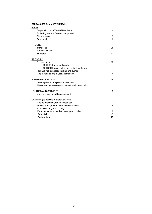# CAPITAL COST SUMMARY (MMSVS)

| <b>FIELD</b>                                            |                |
|---------------------------------------------------------|----------------|
| Evaporation Unit (3500 BPD of feed)                     | $\overline{4}$ |
| Gathering system, Booster pumps and                     |                |
| Storage tanks                                           | 3              |
| Sub total                                               | $\overline{7}$ |
| <b>PIPELINE</b>                                         |                |
| 4" Pipeline                                             | 25             |
| <b>Pumping Station</b>                                  | 2              |
| <b>Subtotal</b>                                         | 27             |
| <b>REFINERY</b>                                         |                |
| Process units                                           | 16             |
| - 3200 BPD upgraded crude                               |                |
| - 500 BPD heavy naptha feed catalytic reformer          |                |
| Tankage with connecting piping and pumps                | $\overline{4}$ |
| Pipe racks and onsite utility distribution              | 4              |
| POWER GENERATION                                        | 15             |
| -Steam generation system (8 MW total)                   |                |
| -New diesel generation plus tie-ins for relocated units |                |
| UTILITIES AND SERVICES                                  | 8              |
| -only as specified to States account                    |                |
| <b>OVERALL</b> (as specific to State's account)         |                |
| -Site development, roads, fences etc.                   | $\overline{2}$ |
| -Project management and related expenses                | 8              |
| -Commissioning and training                             | 3              |
| -Plant management and Support (year 1 only)             | $\overline{2}$ |
| -Subtotal                                               | 15             |
| -Project total                                          | 96             |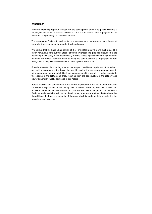## **CONCLUSION**

From the preceding report, it is clear that the development of the Sédigi field will have a very significant capital cost associated with it. On a stand-alone basis, a project such as this would not generally be of interest to State.

The mandate of State is to explore for, and develop hydrocarbon reserves in basins of known hydrocarbon potential in underdeveloped areas.

We believe that the Lake Chad portion of the Termit Basin may be one such area. This report however, points out that State Petroleum Overseas Inc. proposal discussed at the beginning of this study is not economically feasible unless significantly more hydrocarbon reserves are proven within the basin to justify the construction of a larger pipeline from Sédigi, which may ultimately tie into the Doba pipeline to the south.

State is interested in pursuing alternatives to spend additional capital on future seismic and drilling programs in the basin that would develop the necessary reserve base to bring such reserves to market. Such development would bring with it added benefits to the citizens of the N'Djamena area, resulting from the construction of the refinery and power generation facility discussed in this report.

Before finalising our commitment to the further exploration of the Lake Chad area, and subsequent exploitation of the Sédigi field however, State requires that unrestricted access to all technical data acquired to date on the Lake Chad portion of the Termit Basin be made available to it, so that the Company's technical staff may better determine the additional hydrocarbon potential of the area, which is fundamentally important to the project's overall viability.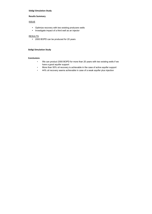# **Sédigi Simulation Study**

# **Results+Summary**

# **ISSUE**

- Optimize recovery with two existing producers wells
- Investigate impact of a third well as an injector

# **RESULTS**

• 2000 BOPD can be produced for 20 years

# **Sédigi Simulation Study**

# **Conclusions**

- We can product 2000 BOPD for more than 20 years with two existing wells if we have a good aquifer support
- More than 50% oil recovery is achievable in the case of active aquifer support
- 44% oil recovery seems achievable in case of a weak aquifer plus injection